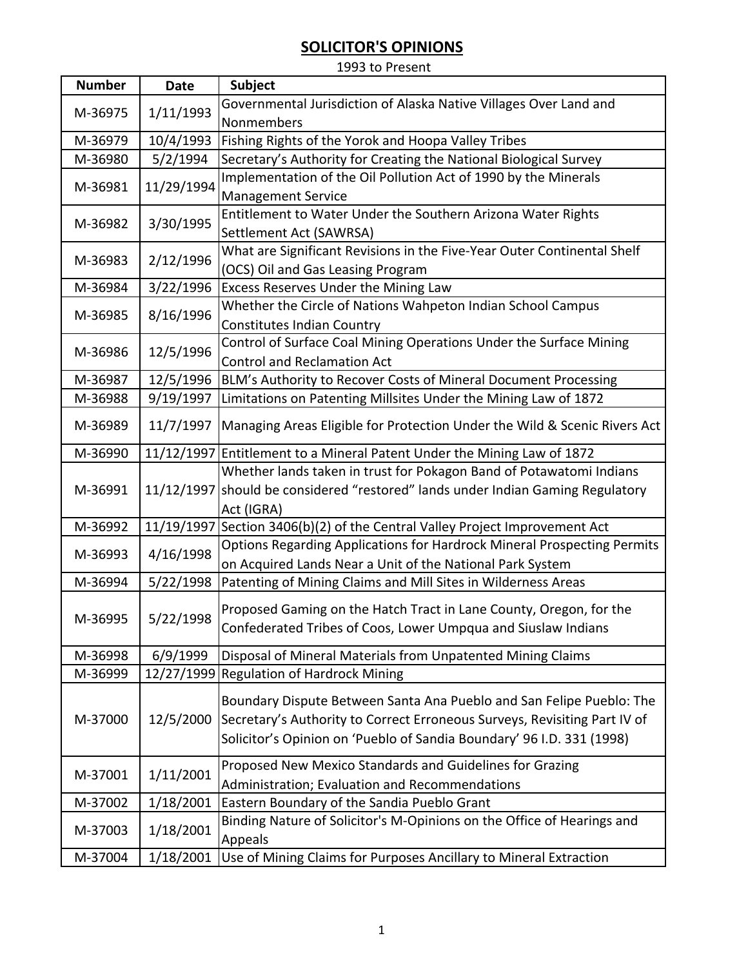1993 to Present

| <b>Number</b> | <b>Date</b> | <b>Subject</b>                                                                        |
|---------------|-------------|---------------------------------------------------------------------------------------|
| M-36975       |             | Governmental Jurisdiction of Alaska Native Villages Over Land and                     |
|               | 1/11/1993   | Nonmembers                                                                            |
| M-36979       | 10/4/1993   | Fishing Rights of the Yorok and Hoopa Valley Tribes                                   |
| M-36980       | 5/2/1994    | Secretary's Authority for Creating the National Biological Survey                     |
| M-36981       |             | Implementation of the Oil Pollution Act of 1990 by the Minerals                       |
|               | 11/29/1994  | <b>Management Service</b>                                                             |
|               |             | Entitlement to Water Under the Southern Arizona Water Rights                          |
| M-36982       | 3/30/1995   | Settlement Act (SAWRSA)                                                               |
| M-36983       | 2/12/1996   | What are Significant Revisions in the Five-Year Outer Continental Shelf               |
|               |             | (OCS) Oil and Gas Leasing Program                                                     |
| M-36984       | 3/22/1996   | Excess Reserves Under the Mining Law                                                  |
| M-36985       | 8/16/1996   | Whether the Circle of Nations Wahpeton Indian School Campus                           |
|               |             | <b>Constitutes Indian Country</b>                                                     |
| M-36986       | 12/5/1996   | Control of Surface Coal Mining Operations Under the Surface Mining                    |
|               |             | <b>Control and Reclamation Act</b>                                                    |
| M-36987       | 12/5/1996   | BLM's Authority to Recover Costs of Mineral Document Processing                       |
| M-36988       | 9/19/1997   | Limitations on Patenting Millsites Under the Mining Law of 1872                       |
| M-36989       |             | 11/7/1997   Managing Areas Eligible for Protection Under the Wild & Scenic Rivers Act |
| M-36990       |             | 11/12/1997 Entitlement to a Mineral Patent Under the Mining Law of 1872               |
|               |             | Whether lands taken in trust for Pokagon Band of Potawatomi Indians                   |
| M-36991       |             | 11/12/1997 should be considered "restored" lands under Indian Gaming Regulatory       |
|               |             | Act (IGRA)                                                                            |
| M-36992       |             | 11/19/1997 Section 3406(b)(2) of the Central Valley Project Improvement Act           |
| M-36993       |             | Options Regarding Applications for Hardrock Mineral Prospecting Permits               |
|               | 4/16/1998   | on Acquired Lands Near a Unit of the National Park System                             |
| M-36994       | 5/22/1998   | Patenting of Mining Claims and Mill Sites in Wilderness Areas                         |
|               | 5/22/1998   | Proposed Gaming on the Hatch Tract in Lane County, Oregon, for the                    |
| M-36995       |             | Confederated Tribes of Coos, Lower Umpqua and Siuslaw Indians                         |
|               |             |                                                                                       |
| M-36998       | 6/9/1999    | Disposal of Mineral Materials from Unpatented Mining Claims                           |
| M-36999       |             | 12/27/1999 Regulation of Hardrock Mining                                              |
|               | 12/5/2000   | Boundary Dispute Between Santa Ana Pueblo and San Felipe Pueblo: The                  |
| M-37000       |             | Secretary's Authority to Correct Erroneous Surveys, Revisiting Part IV of             |
|               |             | Solicitor's Opinion on 'Pueblo of Sandia Boundary' 96 I.D. 331 (1998)                 |
|               |             |                                                                                       |
| M-37001       | 1/11/2001   | Proposed New Mexico Standards and Guidelines for Grazing                              |
|               |             | Administration; Evaluation and Recommendations                                        |
| M-37002       | 1/18/2001   | Eastern Boundary of the Sandia Pueblo Grant                                           |
| M-37003       | 1/18/2001   | Binding Nature of Solicitor's M-Opinions on the Office of Hearings and                |
|               |             | Appeals                                                                               |
| M-37004       | 1/18/2001   | Use of Mining Claims for Purposes Ancillary to Mineral Extraction                     |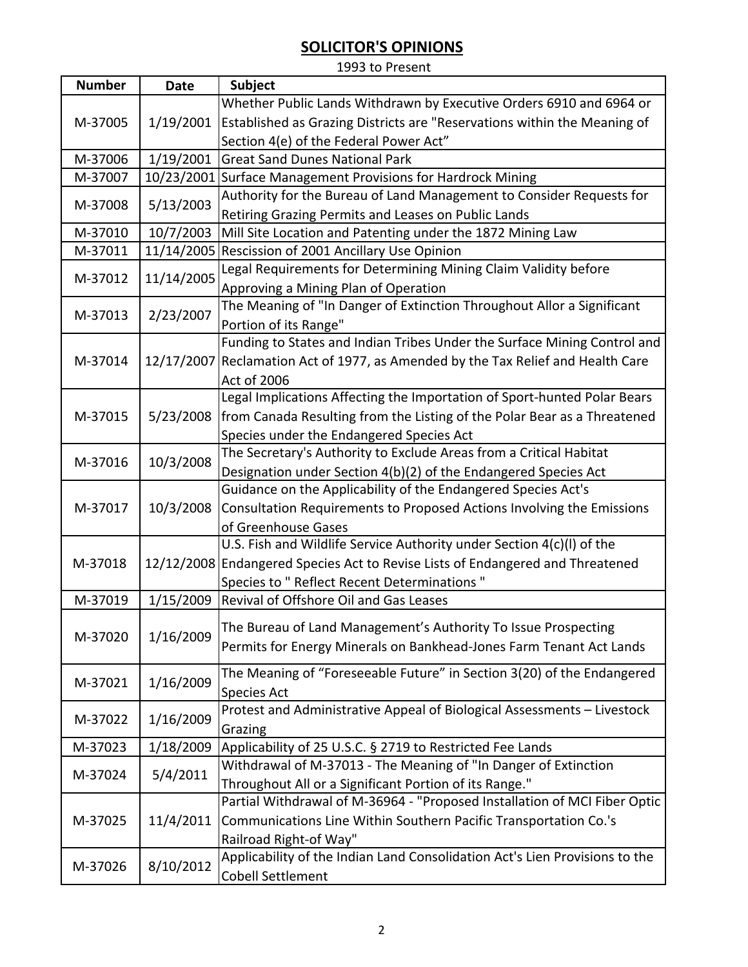| 1993 to Present |             |                                                                                    |
|-----------------|-------------|------------------------------------------------------------------------------------|
| <b>Number</b>   | <b>Date</b> | <b>Subject</b>                                                                     |
| M-37005         |             | Whether Public Lands Withdrawn by Executive Orders 6910 and 6964 or                |
|                 |             | 1/19/2001 Established as Grazing Districts are "Reservations within the Meaning of |
|                 |             | Section 4(e) of the Federal Power Act"                                             |
| M-37006         | 1/19/2001   | <b>Great Sand Dunes National Park</b>                                              |
| M-37007         |             | 10/23/2001 Surface Management Provisions for Hardrock Mining                       |
| M-37008         | 5/13/2003   | Authority for the Bureau of Land Management to Consider Requests for               |
|                 |             | Retiring Grazing Permits and Leases on Public Lands                                |
| M-37010         | 10/7/2003   | Mill Site Location and Patenting under the 1872 Mining Law                         |
| M-37011         |             | 11/14/2005 Rescission of 2001 Ancillary Use Opinion                                |
| M-37012         | 11/14/2005  | Legal Requirements for Determining Mining Claim Validity before                    |
|                 |             | Approving a Mining Plan of Operation                                               |
| M-37013         | 2/23/2007   | The Meaning of "In Danger of Extinction Throughout Allor a Significant             |
|                 |             | Portion of its Range"                                                              |
|                 |             | Funding to States and Indian Tribes Under the Surface Mining Control and           |
| M-37014         |             | 12/17/2007 Reclamation Act of 1977, as Amended by the Tax Relief and Health Care   |
|                 |             | Act of 2006                                                                        |
|                 |             | Legal Implications Affecting the Importation of Sport-hunted Polar Bears           |
| M-37015         | 5/23/2008   | from Canada Resulting from the Listing of the Polar Bear as a Threatened           |
|                 |             | Species under the Endangered Species Act                                           |
| M-37016         | 10/3/2008   | The Secretary's Authority to Exclude Areas from a Critical Habitat                 |
|                 |             | Designation under Section 4(b)(2) of the Endangered Species Act                    |
|                 | 10/3/2008   | Guidance on the Applicability of the Endangered Species Act's                      |
| M-37017         |             | Consultation Requirements to Proposed Actions Involving the Emissions              |
|                 |             | of Greenhouse Gases                                                                |
|                 |             | U.S. Fish and Wildlife Service Authority under Section 4(c)(I) of the              |
| M-37018         |             | 12/12/2008 Endangered Species Act to Revise Lists of Endangered and Threatened     |
|                 |             | Species to " Reflect Recent Determinations "                                       |
| M-37019         | 1/15/2009   | Revival of Offshore Oil and Gas Leases                                             |
|                 | 1/16/2009   | The Bureau of Land Management's Authority To Issue Prospecting                     |
| M-37020         |             | Permits for Energy Minerals on Bankhead-Jones Farm Tenant Act Lands                |
|                 |             |                                                                                    |
| M-37021         | 1/16/2009   | The Meaning of "Foreseeable Future" in Section 3(20) of the Endangered             |
|                 |             | <b>Species Act</b>                                                                 |
| M-37022         | 1/16/2009   | Protest and Administrative Appeal of Biological Assessments - Livestock            |
|                 |             | Grazing                                                                            |
| M-37023         | 1/18/2009   | Applicability of 25 U.S.C. § 2719 to Restricted Fee Lands                          |
| M-37024         | 5/4/2011    | Withdrawal of M-37013 - The Meaning of "In Danger of Extinction                    |
|                 |             | Throughout All or a Significant Portion of its Range."                             |
| M-37025         | 11/4/2011   | Partial Withdrawal of M-36964 - "Proposed Installation of MCI Fiber Optic          |
|                 |             | Communications Line Within Southern Pacific Transportation Co.'s                   |
|                 |             | Railroad Right-of Way"                                                             |
| M-37026         | 8/10/2012   | Applicability of the Indian Land Consolidation Act's Lien Provisions to the        |
|                 |             | <b>Cobell Settlement</b>                                                           |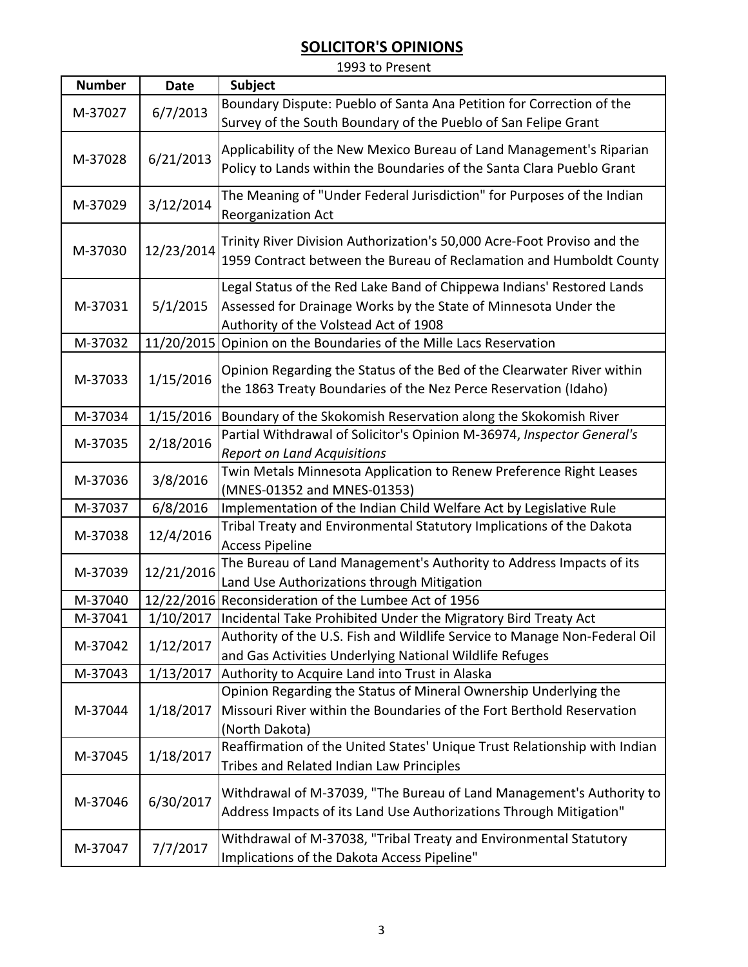| 1993 to Present |             |                                                                                                                                                                                   |  |  |
|-----------------|-------------|-----------------------------------------------------------------------------------------------------------------------------------------------------------------------------------|--|--|
| <b>Number</b>   | <b>Date</b> | Subject                                                                                                                                                                           |  |  |
| M-37027         | 6/7/2013    | Boundary Dispute: Pueblo of Santa Ana Petition for Correction of the<br>Survey of the South Boundary of the Pueblo of San Felipe Grant                                            |  |  |
| M-37028         | 6/21/2013   | Applicability of the New Mexico Bureau of Land Management's Riparian<br>Policy to Lands within the Boundaries of the Santa Clara Pueblo Grant                                     |  |  |
| M-37029         | 3/12/2014   | The Meaning of "Under Federal Jurisdiction" for Purposes of the Indian<br>Reorganization Act                                                                                      |  |  |
| M-37030         | 12/23/2014  | Trinity River Division Authorization's 50,000 Acre-Foot Proviso and the<br>1959 Contract between the Bureau of Reclamation and Humboldt County                                    |  |  |
| M-37031         | 5/1/2015    | Legal Status of the Red Lake Band of Chippewa Indians' Restored Lands<br>Assessed for Drainage Works by the State of Minnesota Under the<br>Authority of the Volstead Act of 1908 |  |  |
| M-37032         | 11/20/2015  | Opinion on the Boundaries of the Mille Lacs Reservation                                                                                                                           |  |  |
| M-37033         | 1/15/2016   | Opinion Regarding the Status of the Bed of the Clearwater River within<br>the 1863 Treaty Boundaries of the Nez Perce Reservation (Idaho)                                         |  |  |
| M-37034         | 1/15/2016   | Boundary of the Skokomish Reservation along the Skokomish River                                                                                                                   |  |  |
| M-37035         | 2/18/2016   | Partial Withdrawal of Solicitor's Opinion M-36974, Inspector General's<br><b>Report on Land Acquisitions</b>                                                                      |  |  |
| M-37036         | 3/8/2016    | Twin Metals Minnesota Application to Renew Preference Right Leases<br>(MNES-01352 and MNES-01353)                                                                                 |  |  |
| M-37037         | 6/8/2016    | Implementation of the Indian Child Welfare Act by Legislative Rule                                                                                                                |  |  |
| M-37038         | 12/4/2016   | Tribal Treaty and Environmental Statutory Implications of the Dakota<br><b>Access Pipeline</b>                                                                                    |  |  |
| M-37039         | 12/21/2016  | The Bureau of Land Management's Authority to Address Impacts of its<br>Land Use Authorizations through Mitigation                                                                 |  |  |
| M-37040         |             | 12/22/2016 Reconsideration of the Lumbee Act of 1956                                                                                                                              |  |  |
| M-37041         | 1/10/2017   | Incidental Take Prohibited Under the Migratory Bird Treaty Act                                                                                                                    |  |  |
| M-37042         | 1/12/2017   | Authority of the U.S. Fish and Wildlife Service to Manage Non-Federal Oil<br>and Gas Activities Underlying National Wildlife Refuges                                              |  |  |
| M-37043         | 1/13/2017   | Authority to Acquire Land into Trust in Alaska                                                                                                                                    |  |  |
| M-37044         | 1/18/2017   | Opinion Regarding the Status of Mineral Ownership Underlying the<br>Missouri River within the Boundaries of the Fort Berthold Reservation<br>(North Dakota)                       |  |  |
| M-37045         | 1/18/2017   | Reaffirmation of the United States' Unique Trust Relationship with Indian<br>Tribes and Related Indian Law Principles                                                             |  |  |
| M-37046         | 6/30/2017   | Withdrawal of M-37039, "The Bureau of Land Management's Authority to<br>Address Impacts of its Land Use Authorizations Through Mitigation"                                        |  |  |
| M-37047         | 7/7/2017    | Withdrawal of M-37038, "Tribal Treaty and Environmental Statutory<br>Implications of the Dakota Access Pipeline"                                                                  |  |  |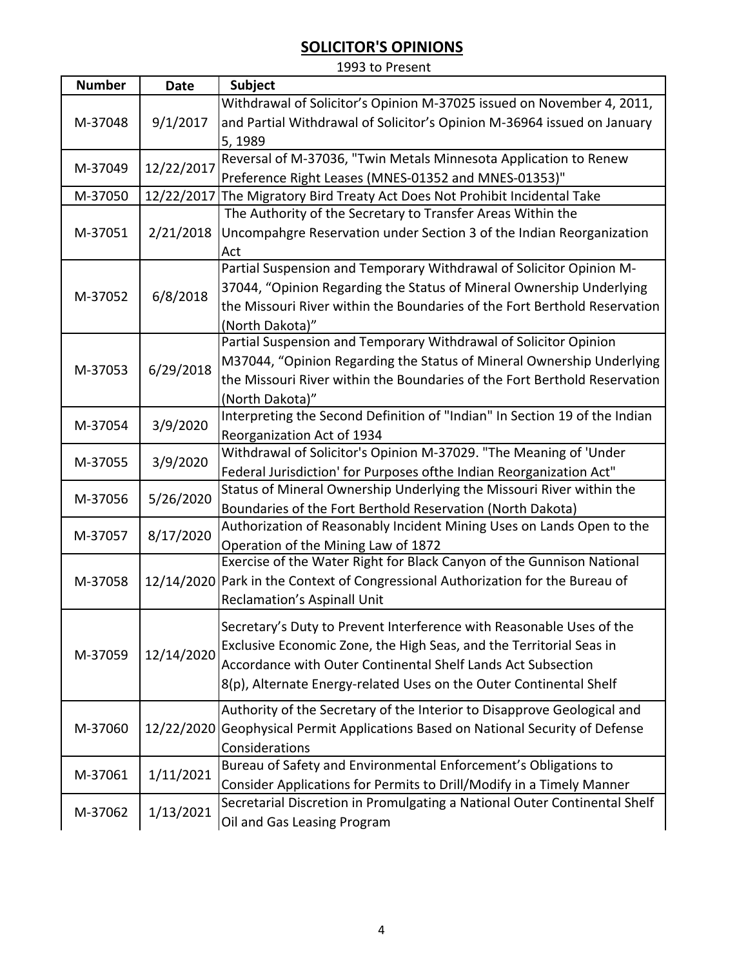| 1993 to Present |             |                                                                                  |  |
|-----------------|-------------|----------------------------------------------------------------------------------|--|
| <b>Number</b>   | <b>Date</b> | Subject                                                                          |  |
|                 |             | Withdrawal of Solicitor's Opinion M-37025 issued on November 4, 2011,            |  |
| M-37048         | 9/1/2017    | and Partial Withdrawal of Solicitor's Opinion M-36964 issued on January          |  |
|                 |             | 5,1989                                                                           |  |
|                 |             | Reversal of M-37036, "Twin Metals Minnesota Application to Renew                 |  |
| M-37049         | 12/22/2017  | Preference Right Leases (MNES-01352 and MNES-01353)"                             |  |
| M-37050         | 12/22/2017  | The Migratory Bird Treaty Act Does Not Prohibit Incidental Take                  |  |
|                 |             | The Authority of the Secretary to Transfer Areas Within the                      |  |
| M-37051         | 2/21/2018   | Uncompahgre Reservation under Section 3 of the Indian Reorganization             |  |
|                 |             | Act                                                                              |  |
|                 |             | Partial Suspension and Temporary Withdrawal of Solicitor Opinion M-              |  |
| M-37052         | 6/8/2018    | 37044, "Opinion Regarding the Status of Mineral Ownership Underlying             |  |
|                 |             | the Missouri River within the Boundaries of the Fort Berthold Reservation        |  |
|                 |             | (North Dakota)"                                                                  |  |
|                 |             | Partial Suspension and Temporary Withdrawal of Solicitor Opinion                 |  |
| M-37053         |             | M37044, "Opinion Regarding the Status of Mineral Ownership Underlying            |  |
|                 | 6/29/2018   | the Missouri River within the Boundaries of the Fort Berthold Reservation        |  |
|                 |             | (North Dakota)"                                                                  |  |
| M-37054         | 3/9/2020    | Interpreting the Second Definition of "Indian" In Section 19 of the Indian       |  |
|                 |             | Reorganization Act of 1934                                                       |  |
| M-37055         | 3/9/2020    | Withdrawal of Solicitor's Opinion M-37029. "The Meaning of 'Under                |  |
|                 |             | Federal Jurisdiction' for Purposes ofthe Indian Reorganization Act"              |  |
| M-37056         | 5/26/2020   | Status of Mineral Ownership Underlying the Missouri River within the             |  |
|                 |             | Boundaries of the Fort Berthold Reservation (North Dakota)                       |  |
| M-37057         | 8/17/2020   | Authorization of Reasonably Incident Mining Uses on Lands Open to the            |  |
|                 |             | Operation of the Mining Law of 1872                                              |  |
|                 |             | Exercise of the Water Right for Black Canyon of the Gunnison National            |  |
| M-37058         |             | 12/14/2020 Park in the Context of Congressional Authorization for the Bureau of  |  |
|                 |             | Reclamation's Aspinall Unit                                                      |  |
|                 | 12/14/2020  | Secretary's Duty to Prevent Interference with Reasonable Uses of the             |  |
|                 |             | Exclusive Economic Zone, the High Seas, and the Territorial Seas in              |  |
| M-37059         |             | Accordance with Outer Continental Shelf Lands Act Subsection                     |  |
|                 |             | 8(p), Alternate Energy-related Uses on the Outer Continental Shelf               |  |
|                 |             |                                                                                  |  |
| M-37060         |             | Authority of the Secretary of the Interior to Disapprove Geological and          |  |
|                 |             | 12/22/2020 Geophysical Permit Applications Based on National Security of Defense |  |
|                 |             | Considerations                                                                   |  |
| M-37061         | 1/11/2021   | Bureau of Safety and Environmental Enforcement's Obligations to                  |  |
|                 |             | Consider Applications for Permits to Drill/Modify in a Timely Manner             |  |
| M-37062         | 1/13/2021   | Secretarial Discretion in Promulgating a National Outer Continental Shelf        |  |
|                 |             | Oil and Gas Leasing Program                                                      |  |